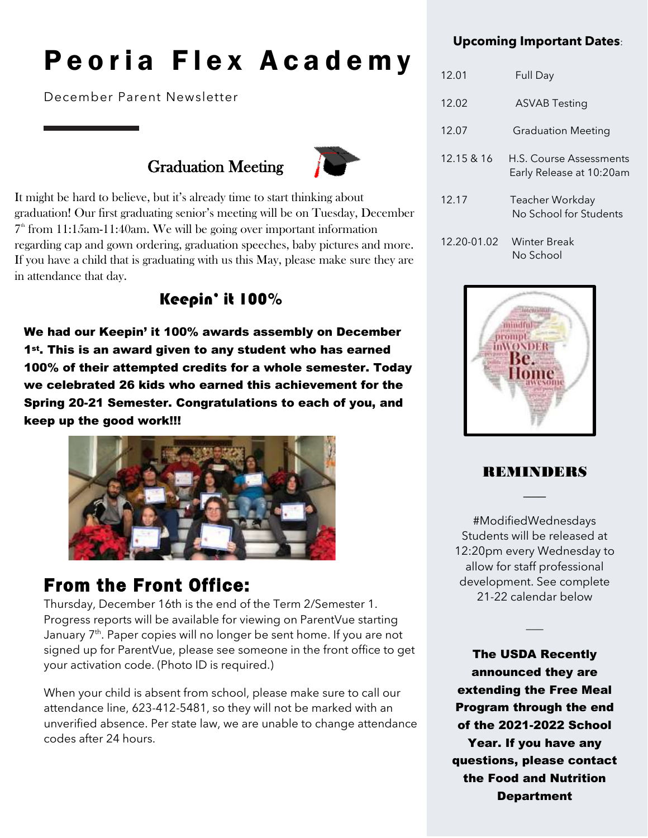# Peoria Flex Academy

December Parent Newsletter

### Graduation Meeting



It might be hard to believe, but it's already time to start thinking about graduation! Our first graduating senior's meeting will be on Tuesday, December  $7<sup>th</sup>$  from 11:15am-11:40am. We will be going over important information regarding cap and gown ordering, graduation speeches, baby pictures and more. If you have a child that is graduating with us this May, please make sure they are in attendance that day.

### Keepin' it 100%

We had our Keepin' it 100% awards assembly on December<br>1st. This is an award given to any student who has earned 1<sup>st</sup>. This is an award given to any student who has earned 100% of their attempted credits for a whole semester. Today we celebrated 26 kids who earned this achievement for the Spring 20-21 Semester. Congratulations to each of you, and keep up the good work!!!



### From the Front Office:

Thursday, December 16th is the end of the Term 2/Semester 1. Progress reports will be available for viewing on ParentVue starting January 7<sup>th</sup>. Paper copies will no longer be sent home. If you are not signed up for ParentVue, please see someone in the front office to get your activation code. (Photo ID is required.)

When your child is absent from school, please make sure to call our attendance line, 623-412-5481, so they will not be marked with an unverified absence. Per state law, we are unable to change attendance codes after 24 hours.

### **Upcoming Important Dates**:

| 12.01       | Full Day                                            |
|-------------|-----------------------------------------------------|
| 12.02       | ASVAB Testing                                       |
| 12.07       | <b>Graduation Meeting</b>                           |
| 12.15 & 16  | H.S. Course Assessments<br>Early Release at 10:20am |
| 12.17       | Teacher Workday<br>No School for Students           |
| 12.20-01.02 | <b>Winter Break</b><br>No School                    |



### REMINDERS  $\overline{\phantom{a}}$

#ModifiedWednesdays Students will be released at 12:20pm every Wednesday to allow for staff professional development. See complete 21-22 calendar below

 $\overline{\phantom{a}}$ 

The USDA Recently announced they are extending the Free Meal Program through the end of the 2021-2022 School Year. If you have any questions, please contact the Food and Nutrition **Department**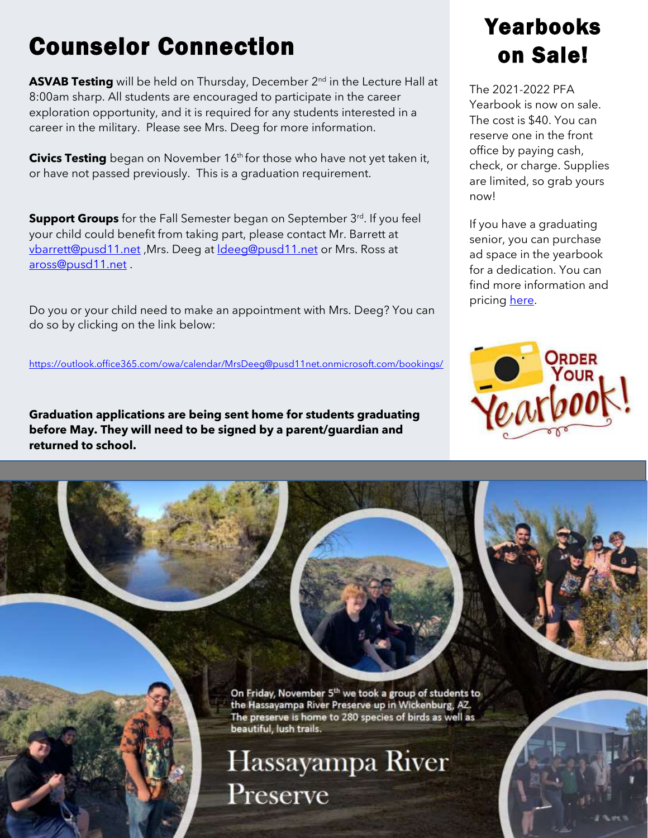## Counselor Connection

**ASVAB Testing** will be held on Thursday, December 2<sup>nd</sup> in the Lecture Hall at 8:00am sharp. All students are encouraged to participate in the career exploration opportunity, and it is required for any students interested in a career in the military. Please see Mrs. Deeg for more information.

**Civics Testing** began on November 16<sup>th</sup> for those who have not yet taken it, or have not passed previously. This is a graduation requirement.

**Support Groups** for the Fall Semester began on September 3<sup>rd</sup>. If you feel your child could benefit from taking part, please contact Mr. Barrett at [vbarrett@pusd11.net](mailto:vbarrett@pusd11.net) ,Mrs. Deeg at [ldeeg@pusd11.net](mailto:ldeeg@pusd11.net) or Mrs. Ross at [aross@pusd11.net](mailto:aross@pusd11.net) .

Do you or your child need to make an appointment with Mrs. Deeg? You can do so by clicking on the link below:

<https://outlook.office365.com/owa/calendar/MrsDeeg@pusd11net.onmicrosoft.com/bookings/>

**Graduation applications are being sent home for students graduating before May. They will need to be signed by a parent/guardian and returned to school.** 



The 2021-2022 PFA Yearbook is now on sale. The cost is \$40. You can reserve one in the front office by paying cash, check, or charge. Supplies are limited, so grab yours now!

If you have a graduating senior, you can purchase ad space in the yearbook for a dedication. You can find more information and pricing [here.](https://pusd11net-my.sharepoint.com/:b:/g/personal/myoung_pusd11_net/Ed7UYL_wPgJLi4OjDp5XMswBHar7N87bl4XBf1vhMyEECA)



On Friday, November 5<sup>th</sup> we took a group of students to the Hassayampa River Preserve up in Wickenburg, AZ. The preserve is home to 280 species of birds as well as beautiful, lush trails.

Hassayampa River Preserve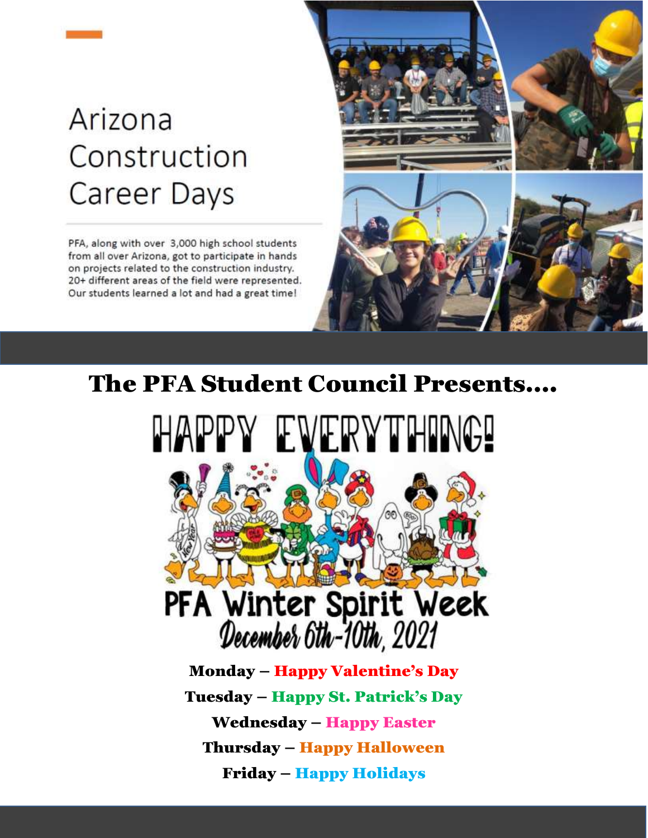# Arizona Construction Career Days

PFA, along with over 3,000 high school students from all over Arizona, got to participate in hands on projects related to the construction industry. 20+ different areas of the field were represented. Our students learned a lot and had a great time!



## The PFA Student Council Presents….





Monday – Happy Valentine's Day Tuesday – Happy St. Patrick's Day Wednesday – Happy Easter Thursday – Happy Halloween Friday – Happy Holidays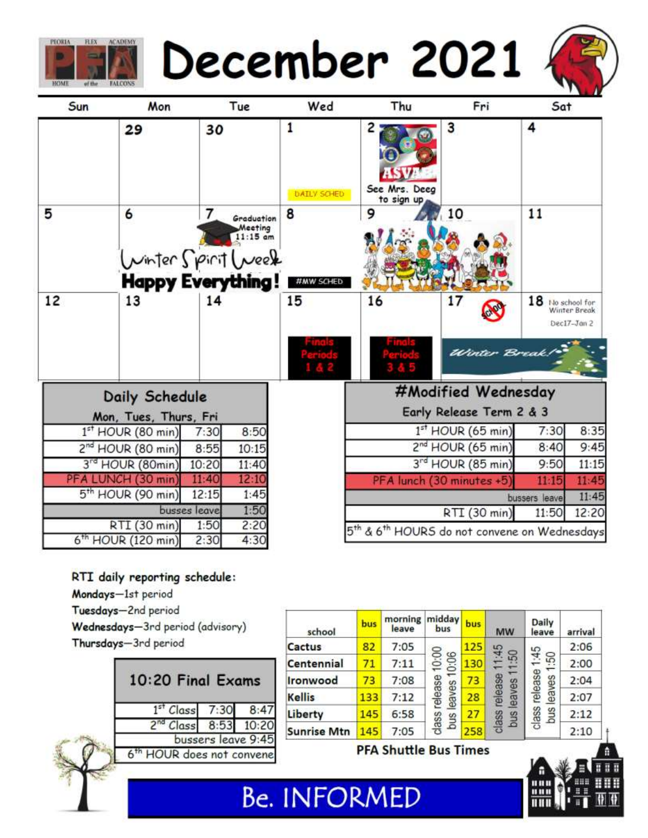



| Sun | Mon                                                 |              | Tue                                 | Wed                            | Thu                                           | Fri                                                                  | Sat                |                             |
|-----|-----------------------------------------------------|--------------|-------------------------------------|--------------------------------|-----------------------------------------------|----------------------------------------------------------------------|--------------------|-----------------------------|
|     | 29                                                  | 30           |                                     | 1<br><b><i>DAILY SCHED</i></b> | $\overline{2}$<br>See Mrs. Deeg<br>to sign up | 3                                                                    | 4                  |                             |
| 5   | 6<br>Winter Spirit Week<br><b>Happy Everything!</b> | 7            | Graduation<br>Meeting<br>$11:15$ am | 8<br>#MW SCHED                 | 9                                             | 10                                                                   | 11                 |                             |
| 12  | 13                                                  | 14           |                                     | 15                             | 16                                            | 17                                                                   | $18$ No school for | Winter Break<br>Dec17-Jan 2 |
|     |                                                     |              |                                     |                                |                                               | Winter Break                                                         |                    |                             |
|     | Daily Schedule                                      |              |                                     |                                |                                               | #Modified Wednesday                                                  |                    |                             |
|     | Mon, Tues, Thurs, Fri                               |              |                                     |                                |                                               | Early Release Term 2 & 3                                             |                    |                             |
|     | $1st$ HOUR (80 min)                                 | 7:30         | 8:50                                |                                | $1st$ HOUR (65 min)                           |                                                                      | 7:30               | 8:35                        |
|     | 2 <sup>nd</sup> HOUR (80 min)                       | 8:55         | 10:15                               |                                |                                               | 2 <sup>nd</sup> HOUR (65 min)                                        | 8:40               | 9:45                        |
|     | 3rd HOUR (80min)                                    | 10:20        | 11:40                               |                                |                                               | 3rd HOUR (85 min)                                                    | 9:50               | 11:15                       |
|     | PFA LUNCH (30 min)                                  | 11:40        | 12:10                               |                                |                                               | PFA lunch (30 minutes +5)                                            | 11:15              | 11:45                       |
|     | 5 <sup>th</sup> HOUR (90 min)                       | 12:15        | 1:45                                |                                |                                               |                                                                      | bussers leave      | 11:45                       |
|     |                                                     | busses leave | 1:50                                |                                |                                               | RTI (30 min)                                                         | 11:50              | 12:20                       |
|     | RTI (30 min)<br>6 <sup>th</sup> HOUR (120 min)      | 1:50<br>2:30 | 2:20<br>4:30                        |                                |                                               | 5 <sup>th</sup> & 6 <sup>th</sup> HOURS do not convene on Wednesdays |                    |                             |

### RTI daily reporting schedule:

Mondays-1st period

**REX ACADEMY** 

**PEORIA** 

Tuesdays-2nd period

Wednesdays-3rd period (advisory) Thursdays-3rd period

| 10:20 Final Exams                     |                    |  |
|---------------------------------------|--------------------|--|
| $1st Class$ 7:30 8:47                 |                    |  |
| 2 <sup>nd</sup> Class 8:53 10:20      |                    |  |
|                                       | bussers leave 9:45 |  |
| 6 <sup>th</sup> HOUR does not convene |                    |  |
|                                       |                    |  |

| school             | bus | morning<br>leave | midday<br>bus                            | bus                    | <b>MW</b>         | Daily<br>leave | arrival |
|--------------------|-----|------------------|------------------------------------------|------------------------|-------------------|----------------|---------|
| Cactus             | 82  | 7:05             | 10:00<br>0:06<br>release<br>eaves<br>bus | 125<br>1:45            |                   | 2:06           |         |
| Centennial         | 71  | 7:11             |                                          | 130                    | ශි                | 1:45<br>S.     | 2:00    |
| Ironwood           | 73  | 7:08             |                                          | 73                     | release<br>leaves | 2:04           |         |
| <b>Kellis</b>      | 133 | 7:12             |                                          | release<br>eaves<br>28 |                   | 2:07           |         |
| Liberty            | 145 | 6:58             |                                          | 27                     | bus               | class<br>pus   | 2:12    |
| <b>Sunrise Mtn</b> | 145 | 7:05             | class                                    | 258                    | class             |                | 2:10    |

**PFA Shuttle Bus Times** 

**Be. INFORMED**